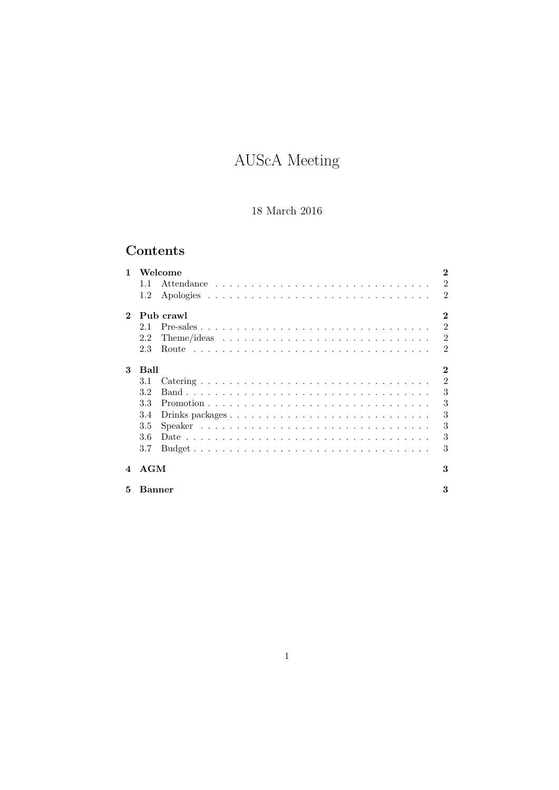# AUScA Meeting

## 18 March 2016

## Contents

| 1            | Welcome                                                                                        | $\bf{2}$       |
|--------------|------------------------------------------------------------------------------------------------|----------------|
|              | 11                                                                                             | $\mathfrak{D}$ |
|              | 1.2                                                                                            | 2              |
| $\mathbf{2}$ | Pub crawl                                                                                      | $\bf{2}$       |
|              | $Pre-sales \ldots \ldots \ldots \ldots \ldots \ldots \ldots \ldots \ldots \ldots \ldots$<br>21 | $\mathfrak{D}$ |
|              | 2.2                                                                                            | $\overline{2}$ |
|              | 2.3                                                                                            | $\mathfrak{D}$ |
| 3            | Ball                                                                                           | 2              |
|              | 3.1                                                                                            | $\overline{2}$ |
|              | 3.2                                                                                            | 3              |
|              | 3.3                                                                                            | 3              |
|              | 3.4                                                                                            | 3              |
|              | 3.5                                                                                            | 3              |
|              | 3.6                                                                                            | 3              |
|              | 3.7                                                                                            | 3              |
| $\mathbf 4$  | AGM                                                                                            | 3              |
| 5            | Banner                                                                                         | 3              |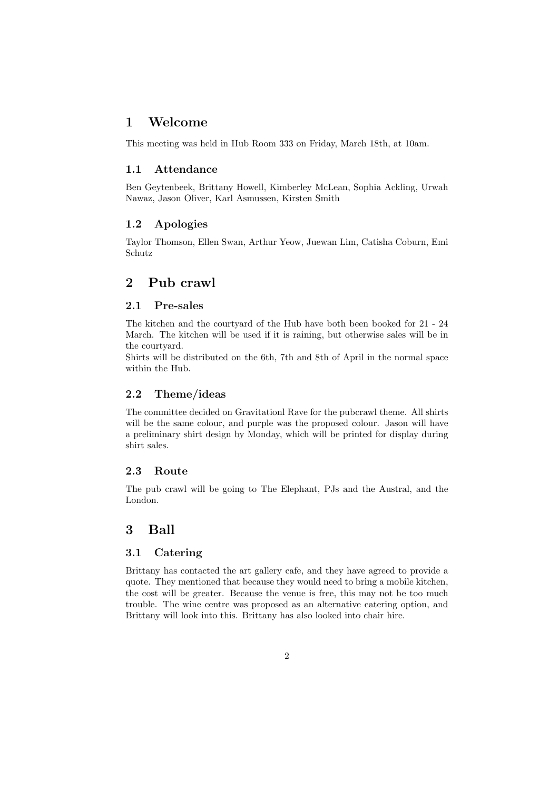## 1 Welcome

This meeting was held in Hub Room 333 on Friday, March 18th, at 10am.

#### 1.1 Attendance

Ben Geytenbeek, Brittany Howell, Kimberley McLean, Sophia Ackling, Urwah Nawaz, Jason Oliver, Karl Asmussen, Kirsten Smith

## 1.2 Apologies

Taylor Thomson, Ellen Swan, Arthur Yeow, Juewan Lim, Catisha Coburn, Emi Schutz

## 2 Pub crawl

## 2.1 Pre-sales

The kitchen and the courtyard of the Hub have both been booked for 21 - 24 March. The kitchen will be used if it is raining, but otherwise sales will be in the courtyard.

Shirts will be distributed on the 6th, 7th and 8th of April in the normal space within the Hub.

## 2.2 Theme/ideas

The committee decided on Gravitationl Rave for the pubcrawl theme. All shirts will be the same colour, and purple was the proposed colour. Jason will have a preliminary shirt design by Monday, which will be printed for display during shirt sales.

## 2.3 Route

The pub crawl will be going to The Elephant, PJs and the Austral, and the London.

## 3 Ball

#### 3.1 Catering

Brittany has contacted the art gallery cafe, and they have agreed to provide a quote. They mentioned that because they would need to bring a mobile kitchen, the cost will be greater. Because the venue is free, this may not be too much trouble. The wine centre was proposed as an alternative catering option, and Brittany will look into this. Brittany has also looked into chair hire.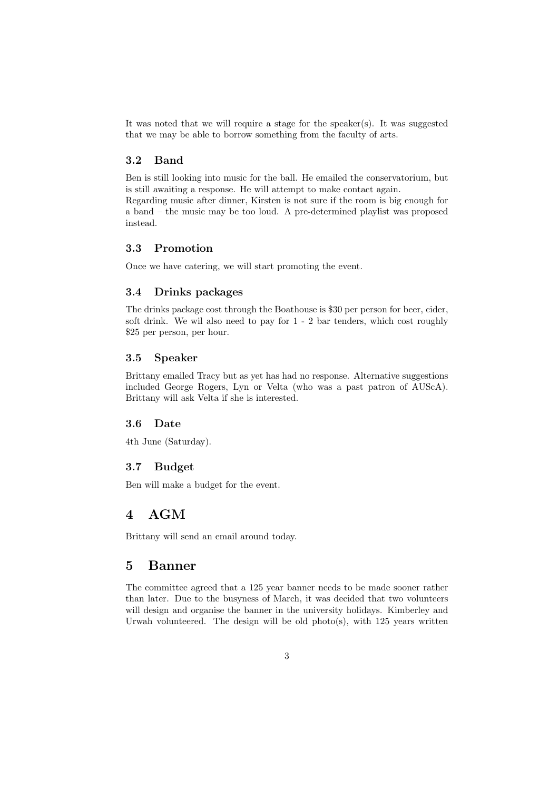It was noted that we will require a stage for the speaker(s). It was suggested that we may be able to borrow something from the faculty of arts.

## 3.2 Band

Ben is still looking into music for the ball. He emailed the conservatorium, but is still awaiting a response. He will attempt to make contact again. Regarding music after dinner, Kirsten is not sure if the room is big enough for a band – the music may be too loud. A pre-determined playlist was proposed instead.

## 3.3 Promotion

Once we have catering, we will start promoting the event.

#### 3.4 Drinks packages

The drinks package cost through the Boathouse is \$30 per person for beer, cider, soft drink. We wil also need to pay for 1 - 2 bar tenders, which cost roughly \$25 per person, per hour.

#### 3.5 Speaker

Brittany emailed Tracy but as yet has had no response. Alternative suggestions included George Rogers, Lyn or Velta (who was a past patron of AUScA). Brittany will ask Velta if she is interested.

#### 3.6 Date

4th June (Saturday).

## 3.7 Budget

Ben will make a budget for the event.

## 4 AGM

Brittany will send an email around today.

#### 5 Banner

The committee agreed that a 125 year banner needs to be made sooner rather than later. Due to the busyness of March, it was decided that two volunteers will design and organise the banner in the university holidays. Kimberley and Urwah volunteered. The design will be old photo(s), with 125 years written